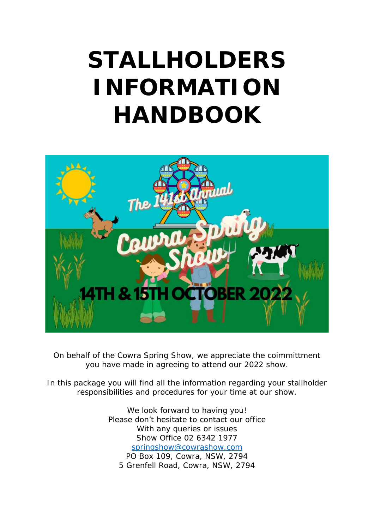# **STALLHOLDERS INFORMATION HANDBOOK**



On behalf of the Cowra Spring Show, we appreciate the coimmittment you have made in agreeing to attend our 2022 show.

In this package you will find all the information regarding your stallholder responsibilities and procedures for your time at our show.

> We look forward to having you! Please don't hesitate to contact our office With any queries or issues Show Office 02 6342 1977 [springshow@cowrashow.com](mailto:springshow@cowrashow.com) PO Box 109, Cowra, NSW, 2794 5 Grenfell Road, Cowra, NSW, 2794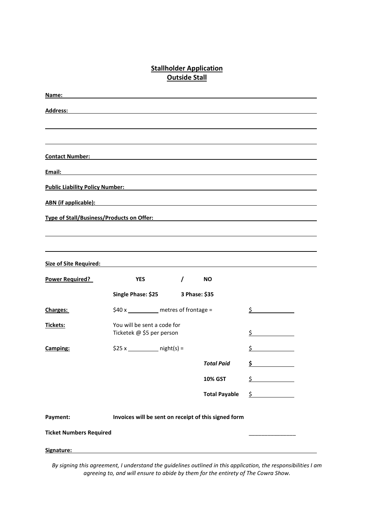# **Stallholder Application Outside Stall**

| Name:                                  |                                                                                                                                                                                                                                      |                                       |               |
|----------------------------------------|--------------------------------------------------------------------------------------------------------------------------------------------------------------------------------------------------------------------------------------|---------------------------------------|---------------|
| <b>Address:</b>                        |                                                                                                                                                                                                                                      |                                       |               |
|                                        |                                                                                                                                                                                                                                      |                                       |               |
|                                        |                                                                                                                                                                                                                                      |                                       |               |
| <b>Contact Number:</b>                 |                                                                                                                                                                                                                                      |                                       |               |
| Email:                                 |                                                                                                                                                                                                                                      |                                       |               |
| <b>Public Liability Policy Number:</b> | <u> 1989 - Johann Stein, fransk politik (d. 1989)</u>                                                                                                                                                                                |                                       |               |
|                                        | <u>ABN (if applicable): with a set of the set of the set of the set of the set of the set of the set of the set of the set of the set of the set of the set of the set of the set of the set of the set of the set of the set of</u> |                                       |               |
|                                        | Type of Stall/Business/Products on Offer:<br>Type of Stall/Business/Products on Offer:                                                                                                                                               |                                       |               |
|                                        |                                                                                                                                                                                                                                      |                                       |               |
|                                        |                                                                                                                                                                                                                                      |                                       |               |
|                                        | Size of Site Required: Size of Site Required:                                                                                                                                                                                        |                                       |               |
| <b>Power Required?</b>                 | <b>YES</b><br>$\prime$                                                                                                                                                                                                               | <b>NO</b>                             |               |
|                                        | Single Phase: \$25 3 Phase: \$35                                                                                                                                                                                                     |                                       |               |
| Charges:                               |                                                                                                                                                                                                                                      | \$40 x _________ metres of frontage = |               |
| <b>Tickets:</b>                        | You will be sent a code for<br>Ticketek @ \$5 per person                                                                                                                                                                             |                                       | \$            |
| Camping:                               |                                                                                                                                                                                                                                      |                                       | \$            |
|                                        |                                                                                                                                                                                                                                      | <b>Total Paid</b>                     | \$            |
|                                        |                                                                                                                                                                                                                                      | <b>10% GST</b>                        | \$            |
|                                        |                                                                                                                                                                                                                                      | <b>Total Payable</b>                  | $\frac{1}{2}$ |
|                                        |                                                                                                                                                                                                                                      |                                       |               |
| Payment:                               | Invoices will be sent on receipt of this signed form                                                                                                                                                                                 |                                       |               |
| <b>Ticket Numbers Required</b>         |                                                                                                                                                                                                                                      |                                       |               |
| Signature:                             |                                                                                                                                                                                                                                      |                                       |               |

*By signing this agreement, I understand the guidelines outlined in this application, the responsibilities I am agreeing to, and will ensure to abide by them for the entirety of The Cowra Show.*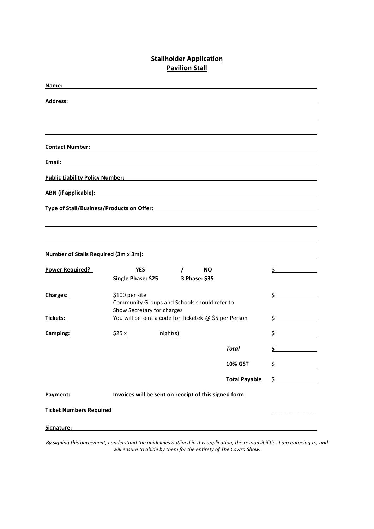## **Stallholder Application Pavilion Stall**

| <b>YES</b>                                                       | <b>NO</b><br>$\prime$                                                         |                                                                                    | \$.                                                                                                                                                                                              |  |
|------------------------------------------------------------------|-------------------------------------------------------------------------------|------------------------------------------------------------------------------------|--------------------------------------------------------------------------------------------------------------------------------------------------------------------------------------------------|--|
|                                                                  | 3 Phase: \$35                                                                 |                                                                                    |                                                                                                                                                                                                  |  |
| \$100 per site                                                   |                                                                               |                                                                                    | \$                                                                                                                                                                                               |  |
|                                                                  |                                                                               |                                                                                    |                                                                                                                                                                                                  |  |
|                                                                  | You will be sent a code for Ticketek @ \$5 per Person                         |                                                                                    |                                                                                                                                                                                                  |  |
|                                                                  |                                                                               |                                                                                    | \$                                                                                                                                                                                               |  |
|                                                                  |                                                                               | <b>Total</b>                                                                       | \$                                                                                                                                                                                               |  |
|                                                                  |                                                                               | <b>10% GST</b>                                                                     | \$                                                                                                                                                                                               |  |
|                                                                  |                                                                               | <b>Total Payable</b>                                                               | $\sharp$                                                                                                                                                                                         |  |
| Payment:<br>Invoices will be sent on receipt of this signed form |                                                                               |                                                                                    |                                                                                                                                                                                                  |  |
|                                                                  |                                                                               |                                                                                    |                                                                                                                                                                                                  |  |
|                                                                  |                                                                               |                                                                                    |                                                                                                                                                                                                  |  |
|                                                                  | <b>Number of Stalls Required (3m x 3m):</b><br><b>Ticket Numbers Required</b> | Single Phase: \$25<br>Show Secretary for charges<br>\$25 x ______________ night(s) | ABN (if applicable): ABN (if applicable):<br>Type of Stall/Business/Products on Offer: The State of State of Stall State of Stall State of Stall<br>Community Groups and Schools should refer to |  |

*By signing this agreement, I understand the guidelines outlined in this application, the responsibilities I am agreeing to, and will ensure to abide by them for the entirety of The Cowra Show.*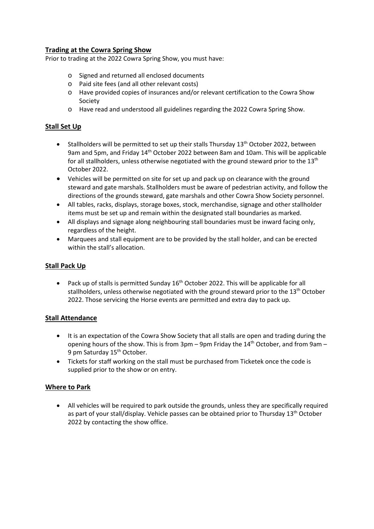## **Trading at the Cowra Spring Show**

Prior to trading at the 2022 Cowra Spring Show, you must have:

- o Signed and returned all enclosed documents
- o Paid site fees (and all other relevant costs)
- o Have provided copies of insurances and/or relevant certification to the Cowra Show Society
- o Have read and understood all guidelines regarding the 2022 Cowra Spring Show.

## **Stall Set Up**

- Stallholders will be permitted to set up their stalls Thursday  $13<sup>th</sup>$  October 2022, between 9am and 5pm, and Friday 14th October 2022 between 8am and 10am. This will be applicable for all stallholders, unless otherwise negotiated with the ground steward prior to the 13<sup>th</sup> October 2022.
- Vehicles will be permitted on site for set up and pack up on clearance with the ground steward and gate marshals. Stallholders must be aware of pedestrian activity, and follow the directions of the grounds steward, gate marshals and other Cowra Show Society personnel.
- All tables, racks, displays, storage boxes, stock, merchandise, signage and other stallholder items must be set up and remain within the designated stall boundaries as marked.
- All displays and signage along neighbouring stall boundaries must be inward facing only, regardless of the height.
- Marquees and stall equipment are to be provided by the stall holder, and can be erected within the stall's allocation.

#### **Stall Pack Up**

• Pack up of stalls is permitted Sunday  $16<sup>th</sup>$  October 2022. This will be applicable for all stallholders, unless otherwise negotiated with the ground steward prior to the 13<sup>th</sup> October 2022. Those servicing the Horse events are permitted and extra day to pack up.

#### **Stall Attendance**

- It is an expectation of the Cowra Show Society that all stalls are open and trading during the opening hours of the show. This is from  $3pm - 9pm$  Friday the  $14<sup>th</sup>$  October, and from  $9am -$ 9 pm Saturday 15<sup>th</sup> October.
- Tickets for staff working on the stall must be purchased from Ticketek once the code is supplied prior to the show or on entry.

#### **Where to Park**

• All vehicles will be required to park outside the grounds, unless they are specifically required as part of your stall/display. Vehicle passes can be obtained prior to Thursday 13<sup>th</sup> October 2022 by contacting the show office.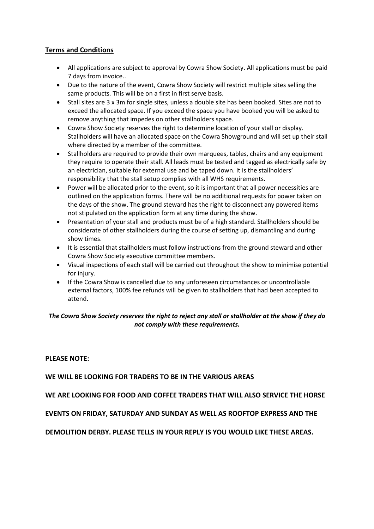## **Terms and Conditions**

- All applications are subject to approval by Cowra Show Society. All applications must be paid 7 days from invoice..
- Due to the nature of the event, Cowra Show Society will restrict multiple sites selling the same products. This will be on a first in first serve basis.
- Stall sites are 3 x 3m for single sites, unless a double site has been booked. Sites are not to exceed the allocated space. If you exceed the space you have booked you will be asked to remove anything that impedes on other stallholders space.
- Cowra Show Society reserves the right to determine location of your stall or display. Stallholders will have an allocated space on the Cowra Showground and will set up their stall where directed by a member of the committee.
- Stallholders are required to provide their own marquees, tables, chairs and any equipment they require to operate their stall. All leads must be tested and tagged as electrically safe by an electrician, suitable for external use and be taped down. It is the stallholders' responsibility that the stall setup complies with all WHS requirements.
- Power will be allocated prior to the event, so it is important that all power necessities are outlined on the application forms. There will be no additional requests for power taken on the days of the show. The ground steward has the right to disconnect any powered items not stipulated on the application form at any time during the show.
- Presentation of your stall and products must be of a high standard. Stallholders should be considerate of other stallholders during the course of setting up, dismantling and during show times.
- It is essential that stallholders must follow instructions from the ground steward and other Cowra Show Society executive committee members.
- Visual inspections of each stall will be carried out throughout the show to minimise potential for injury.
- If the Cowra Show is cancelled due to any unforeseen circumstances or uncontrollable external factors, 100% fee refunds will be given to stallholders that had been accepted to attend.

## *The Cowra Show Society reserves the right to reject any stall or stallholder at the show if they do not comply with these requirements.*

#### **PLEASE NOTE:**

**WE WILL BE LOOKING FOR TRADERS TO BE IN THE VARIOUS AREAS**

**WE ARE LOOKING FOR FOOD AND COFFEE TRADERS THAT WILL ALSO SERVICE THE HORSE** 

**EVENTS ON FRIDAY, SATURDAY AND SUNDAY AS WELL AS ROOFTOP EXPRESS AND THE** 

**DEMOLITION DERBY. PLEASE TELLS IN YOUR REPLY IS YOU WOULD LIKE THESE AREAS.**